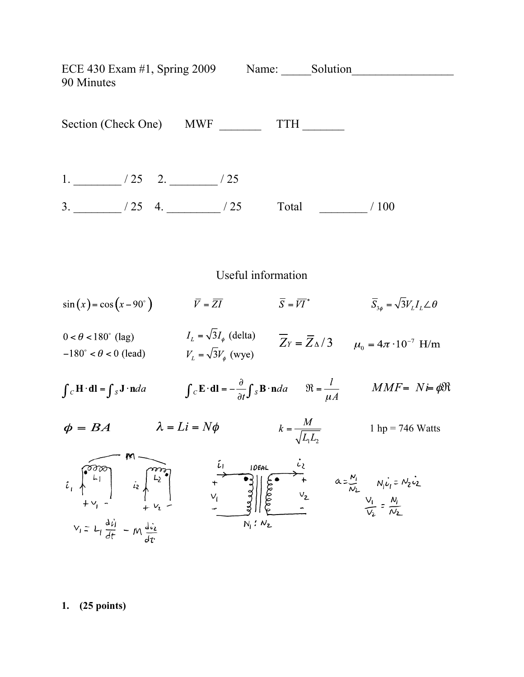ECE 430 Exam #1, Spring 2009 Name: Solution 90 Minutes Section (Check One) MWF TTH 1.  $\frac{1}{25}$  / 25 2.  $\frac{1}{25}$  / 25  $3.$  \_\_\_\_\_\_\_\_\_ / 25 4. \_\_\_\_\_\_\_\_ / 25 Total \_\_\_\_\_\_\_\_ / 100 Useful information  $\sin(x) = \cos(x - 90^\circ)$   $\qquad \qquad \overline{Y} = \overline{ZI}$   $\qquad \qquad \overline{S} = \overline{VI}^*$   $\qquad \qquad \overline{S}_{3\phi} = \sqrt{3}V_L I_L \angle \theta$  $0 < \theta < 180^{\circ}$  (lag)  $I_L = \sqrt{3}I_{\phi}$  (delta)  $\overline{Z}_Y = \overline{Z}_{\phi}/3$   $\mu_0 = 4\pi \cdot 10^{-7}$  H/m<br>-180° <  $\theta < 0$  (lead)  $V_L = \sqrt{3}V_{\phi}$  (wye)  $\int_{C} \mathbf{H} \cdot d\mathbf{l} = \int_{S} \mathbf{J} \cdot \mathbf{n} da$   $\int_{C} \mathbf{E} \cdot d\mathbf{l} = -\frac{\partial}{\partial t} \int_{S} \mathbf{B} \cdot \mathbf{n} da$   $\Re = \frac{l}{uA}$   $MMF = N \neq \phi \Re$  $\phi = BA$   $\lambda = Li = N\phi$   $k = \frac{M}{\sqrt{L_1 L_2}}$  1 hp = 746 Watts  $V_i = L_i \frac{d\vec{v}_i}{dt} - M \frac{d\vec{v}_i}{dt}$ 

**1. (25 points)**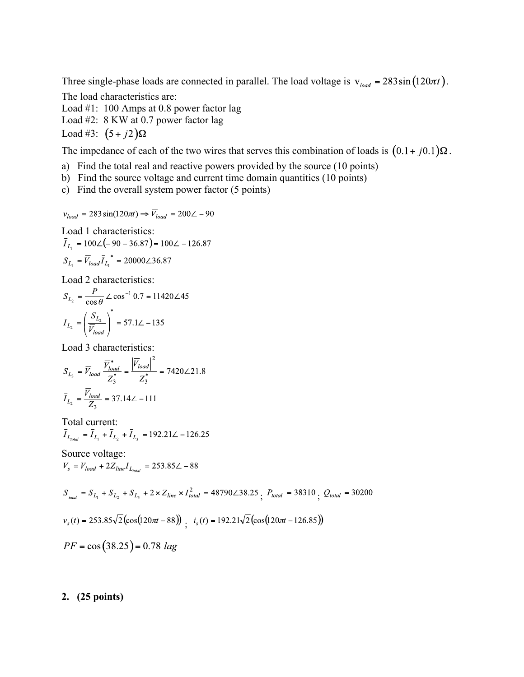Three single-phase loads are connected in parallel. The load voltage is  $v_{load} = 283 \sin(120 \pi t)$ .

The load characteristics are: Load #1: 100 Amps at 0.8 power factor lag Load #2: 8 KW at 0.7 power factor lag Load #3:  $(5+j2)$  $\Omega$ 

The impedance of each of the two wires that serves this combination of loads is  $(0.1 + i0.1) \Omega$ .

- a) Find the total real and reactive powers provided by the source (10 points)
- b) Find the source voltage and current time domain quantities (10 points)
- c) Find the overall system power factor (5 points)

$$
v_{load} = 283\sin(120\pi t) \Rightarrow \overline{V}_{load} = 200\angle -90
$$

Load 1 characteristics:

$$
\overline{I}_{L_1} = 100\angle(-90 - 36.87) = 100\angle -126.87
$$

$$
S_{L_1} = \overline{V}_{load} \overline{I}_{L_1}^* = 20000\angle 36.87
$$

Load 2 characteristics:

$$
S_{L_2} = \frac{P}{\cos \theta} \angle \cos^{-1} 0.7 = 11420 \angle 45
$$

$$
\bar{I}_{L_2} = \left(\frac{S_{L_2}}{\bar{V}_{load}}\right)^* = 57.1 \angle -135
$$

Load 3 characteristics:

$$
S_{L_3} = \overline{V}_{load} \frac{\overline{V}_{load}^*}{Z_3^*} = \frac{|\overline{V}_{load}|^2}{Z_3^*} = 7420\angle 21.8
$$
  

$$
\overline{I}_{L_2} = \frac{\overline{V}_{load}}{Z_3} = 37.14\angle -111
$$

Total current:<br> $\bar{I}_{L_{total}} = \bar{I}_{L_1} + \bar{I}_{L_2} + \bar{I}_{L_3} = 192.21\angle -126.25$ 

Source voltage:<br> $\overline{V}_s = \overline{V}_{load} + 2Z_{line} \overline{I}_{L_{total}} = 253.85\angle -88$ 

 $S_{_{total}} = S_{L_1} + S_{L_2} + S_{L_3} + 2 \times Z_{line} \times I_{total}^2 = 48790 \angle 38.25 \cdot P_{total} = 38310 \cdot Q_{total} = 30200$ 

 $v_s(t) = 253.85\sqrt{2}(\cos(120\pi t - 88))$  :  $i_s(t) = 192.21\sqrt{2}(\cos(120\pi t - 126.85))$ 

$$
PF = \cos(38.25) = 0.78
$$
 lag

## **2. (25 points)**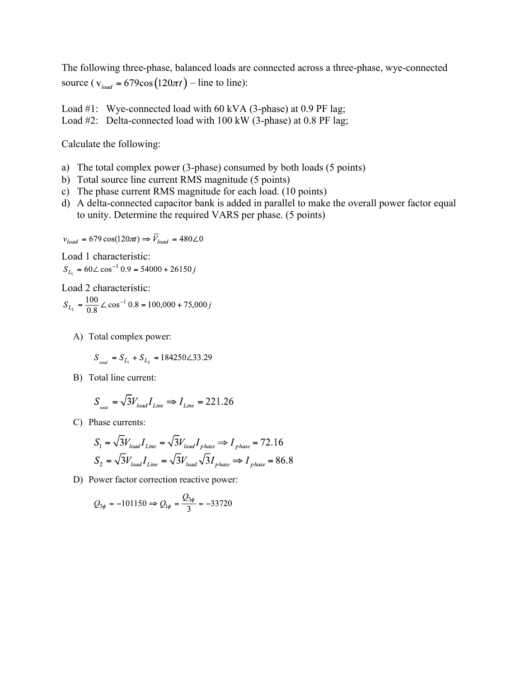The following three-phase, balanced loads are connected across a three-phase, wye-connected source ( $v_{load} = 679 \cos(120 \pi t) -$ line to line):

Load #1: Wye-connected load with 60 kVA (3-phase) at 0.9 PF lag; Load #2: Delta-connected load with 100 kW (3-phase) at 0.8 PF lag;

Calculate the following:

- a) The total complex power (3-phase) consumed by both loads (5 points)
- b) Total source line current RMS magnitude (5 points)
- c) The phase current RMS magnitude for each load. (10 points)
- d) A delta-connected capacitor bank is added in parallel to make the overall power factor equal to unity. Determine the required VARS per phase. (5 points)

$$
v_{load} = 679 \cos(120 \pi) \Rightarrow \overline{V}_{load} = 480 \angle 0
$$

Load 1 characteristic:

 $S_{L_1} = 60\angle \cos^{-1} 0.9 = 54000 + 26150j$ 

Load 2 characteristic:

$$
S_{L_2} = \frac{100}{0.8} \angle \cos^{-1} 0.8 = 100,000 + 75,000j
$$

A) Total complex power:

$$
S_{_{total}} = S_{L_{1}} + S_{L_{2}} = 184250\angle 33.29
$$

B) Total line current:

$$
S_{\text{total}} = \sqrt{3} V_{\text{load}} I_{\text{Line}} \Rightarrow I_{\text{Line}} = 221.26
$$

C) Phase currents:

$$
S_1 = \sqrt{3}V_{load}I_{Line} = \sqrt{3}V_{load}I_{phase} \Rightarrow I_{phase} = 72.16
$$
  

$$
S_2 = \sqrt{3}V_{load}I_{Line} = \sqrt{3}V_{load}\sqrt{3}I_{phase} \Rightarrow I_{phase} = 86.8
$$

D) Power factor correction reactive power:

$$
Q_{3\phi} = -101150 \Rightarrow Q_{1\phi} = \frac{Q_{3\phi}}{3} = -33720
$$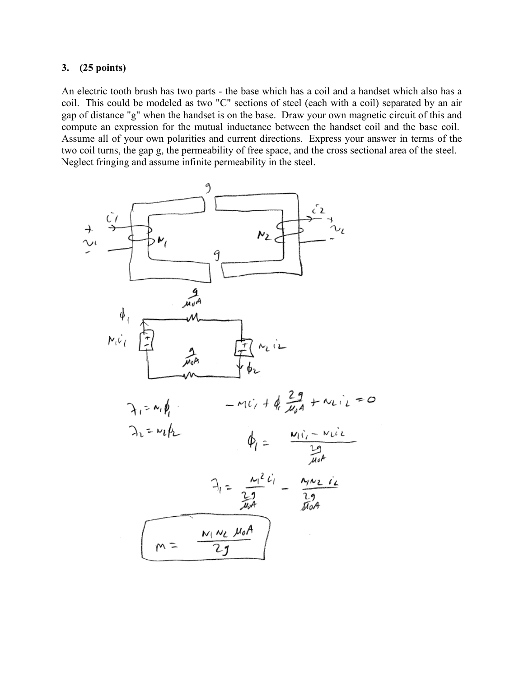## **3. (25 points)**

An electric tooth brush has two parts - the base which has a coil and a handset which also has a coil. This could be modeled as two "C" sections of steel (each with a coil) separated by an air gap of distance "g" when the handset is on the base. Draw your own magnetic circuit of this and compute an expression for the mutual inductance between the handset coil and the base coil. Assume all of your own polarities and current directions. Express your answer in terms of the two coil turns, the gap g, the permeability of free space, and the cross sectional area of the steel. Neglect fringing and assume infinite permeability in the steel.